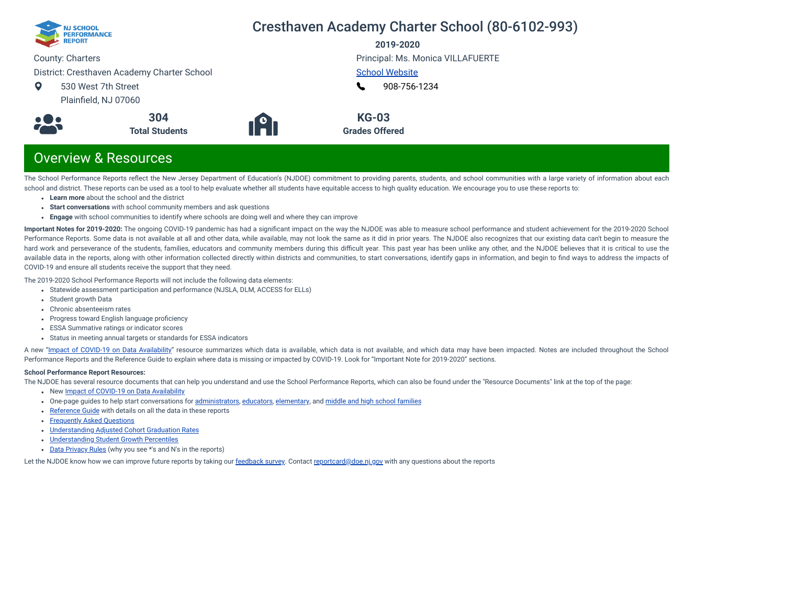

## Cresthaven Academy Charter School (80-6102-993)

**2019-2020**

County: Charters

District: Cresthaven Academy Charter School

 $\bullet$ 530 West 7th Street Plainfield, NJ 07060





Principal: Ms. Monica VILLAFUERTE [School Website](https://www.cresthavenacademy.org/)

[908-756-1234](tel:+908-756-1234) L

**KG-03**

**Grades Offered**

## Overview & Resources

The School Performance Reports reflect the New Jersey Department of Education's (NJDOE) commitment to providing parents, students, and school communities with a large variety of information about each school and district. These reports can be used as a tool to help evaluate whether all students have equitable access to high quality education. We encourage you to use these reports to:

- **Learn more** about the school and the district
- **Start conversations** with school community members and ask questions
- **Engage** with school communities to identify where schools are doing well and where they can improve

**Important Notes for 2019-2020:** The ongoing COVID-19 pandemic has had a signicant impact on the way the NJDOE was able to measure school performance and student achievement for the 2019-2020 School Performance Reports. Some data is not available at all and other data, while available, may not look the same as it did in prior years. The NJDOE also recognizes that our existing data can't begin to measure the hard work and perseverance of the students, families, educators and community members during this difficult year. This past year has been unlike any other, and the NJDOE believes that it is critical to use the available data in the reports, along with other information collected directly within districts and communities, to start conversations, identify gaps in information, and begin to find ways to address the impacts of COVID-19 and ensure all students receive the support that they need.

The 2019-2020 School Performance Reports will not include the following data elements:

- Statewide assessment participation and performance (NJSLA, DLM, ACCESS for ELLs)
- Student growth Data
- Chronic absenteeism rates
- Progress toward English language proficiency
- ESSA Summative ratings or indicator scores
- Status in meeting annual targets or standards for ESSA indicators

A new "Impact of [COVID-19 on](https://www.nj.gov/education/schoolperformance/resources/docs/2019-20%20School%20Performance%20Reports%20-%20Impact%20of%20COVID-19%20on%20Data%20Availability.pdf) Data Availability" resource summarizes which data is available, which data is not available, and which data may have been impacted. Notes are included throughout the School Performance Reports and the Reference Guide to explain where data is missing or impacted by COVID-19. Look for "Important Note for 2019-2020" sections.

#### **School Performance Report Resources:**

The NJDOE has several resource documents that can help you understand and use the School Performance Reports, which can also be found under the "Resource Documents" link at the top of the page:

- New Impact of [COVID-19 on](https://www.nj.gov/education/schoolperformance/resources/docs/2019-20%20School%20Performance%20Reports%20-%20Impact%20of%20COVID-19%20on%20Data%20Availability.pdf) Data Availability
- One-page guides to help start conversations for [administrators](https://www.nj.gov/education/schoolperformance/resources/docs/2019-20%20School%20Performance%20Reports%20-%20One-Page%20Guides%20-%20Administrators.pdf), [educators](https://www.nj.gov/education/schoolperformance/resources/docs/2019-20%20School%20Performance%20Reports%20-%20One-Page%20Guides%20-%20Educators.pdf), [elementary](https://www.nj.gov/education/schoolperformance/resources/docs/2019-20%20School%20Performance%20Reports%20-%20One-Page%20Guides%20-%20FamiliesCommunities.pdf), and middle and high school [families](https://www.nj.gov/education/schoolperformance/resources/docs/2019-20%20School%20Performance%20Reports%20-%20One-Page%20Guides%20-%20MS%20and%20HS.pdf)
- [Reference](https://rc.doe.state.nj.us/Documents/1920/ReferenceGuide.pdf) Guide with details on all the data in these reports
- [Frequently](https://rc.doe.state.nj.us/Documents/1920/FAQs.pdf) Asked Questions
- [Understanding](https://www.nj.gov/education/schoolperformance/grad/docs/Understanding%20Adjusted%20Cohort%20Graduation%20Rates.pdf) Adjusted Cohort Graduation Rates
- [Understanding](https://www.nj.gov/education/schoolperformance/growth/Understanding%20Median%20Student%20Growth%20Percentiles.pdf) Student Growth Percentiles
- Data [Privacy](https://rc.doe.state.nj.us/Documents/1920/DataPrivacyRules.pdf) Rules (why you see \*'s and N's in the reports)

Let the NJDOE know how we can improve future reports by taking our [feedback](https://www.surveymonkey.com/r/2019-20SPR) survey. Contact [reportcard@doe.nj.gov](mailto:reportcard@doe.nj.gov) with any questions about the reports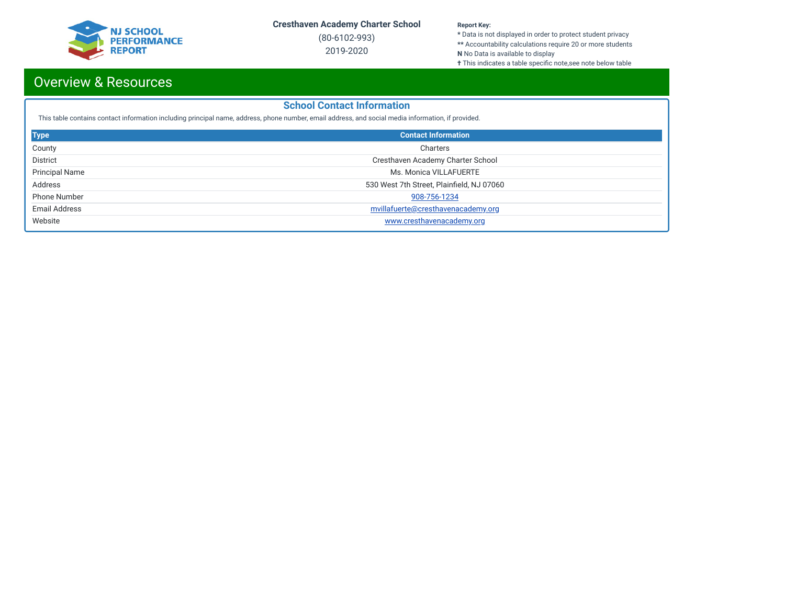

(80-6102-993) 2019-2020

#### **Report Key:**

**\*** Data is not displayed in order to protect student privacy **\*\*** Accountability calculations require 20 or more students **N** No Data is available to display

**†** This indicates a table specific note,see note below table

## Overview & Resources

## **School Contact Information**

This table contains contact information including principal name, address, phone number, email address, and social media information, if provided.

| <b>Type</b>           | <b>Contact Information</b>                |
|-----------------------|-------------------------------------------|
| County                | Charters                                  |
| <b>District</b>       | Cresthaven Academy Charter School         |
| <b>Principal Name</b> | Ms. Monica VILLAFUERTE                    |
| Address               | 530 West 7th Street, Plainfield, NJ 07060 |
| <b>Phone Number</b>   | 908-756-1234                              |
| Email Address         | mvillafuerte@cresthavenacademy.org        |
| Website               | www.cresthavenacademy.org                 |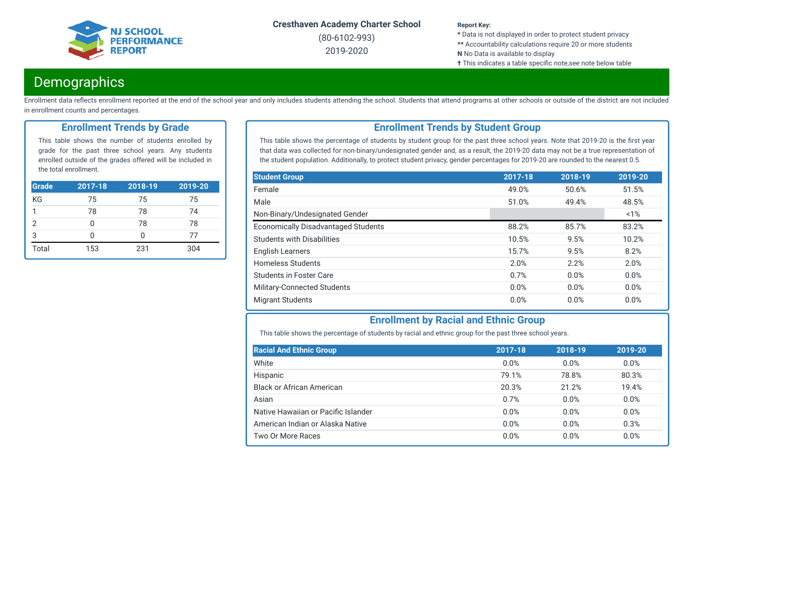

(80-6102-993) 2019-2020

#### **Report Key:**

**\*** Data is not displayed in order to protect student privacy **\*\*** Accountability calculations require 20 or more students **N** No Data is available to display

**†** This indicates a table specific note,see note below table

## **Demographics**

Enrollment data reflects enrollment reported at the end of the school year and only includes students attending the school. Students that attend programs at other schools or outside of the district are not included in enrollment counts and percentages.

## **Enrollment Trends by Grade**

This table shows the number of students enrolled by grade for the past three school years. Any students enrolled outside of the grades offered will be included in the total enrollment.

| <b>Grade</b> | $2017 - 18$ | $2018 - 19$ | 2019-20 |
|--------------|-------------|-------------|---------|
| KG           | 75          | 75          | 75      |
| 1            | 78          | 78          | 74      |
| 2            |             | 78          | 78      |
| 3            |             | Ω           | 77      |
| Total        | 153         | 231         | 304     |

## **Enrollment Trends by Student Group**

This table shows the percentage of students by student group for the past three school years. Note that 2019-20 is the first year that data was collected for non-binary/undesignated gender and, as a result, the 2019-20 data may not be a true representation of the student population. Additionally, to protect student privacy, gender percentages for 2019-20 are rounded to the nearest 0.5.

| <b>Student Group</b>                       | 2017-18 | 2018-19 | 2019-20 |
|--------------------------------------------|---------|---------|---------|
| Female                                     | 49.0%   | 50.6%   | 51.5%   |
| Male                                       | 51.0%   | 49.4%   | 48.5%   |
| Non-Binary/Undesignated Gender             |         |         | 1%      |
| <b>Economically Disadvantaged Students</b> | 88.2%   | 85.7%   | 83.2%   |
| <b>Students with Disabilities</b>          | 10.5%   | 9.5%    | 10.2%   |
| <b>English Learners</b>                    | 15.7%   | 9.5%    | 8.2%    |
| <b>Homeless Students</b>                   | 2.0%    | 2.2%    | 2.0%    |
| Students in Foster Care                    | 0.7%    | 0.0%    | 0.0%    |
| Military-Connected Students                | 0.0%    | 0.0%    | 0.0%    |
| <b>Migrant Students</b>                    | 0.0%    | 0.0%    | 0.0%    |

## **Enrollment by Racial and Ethnic Group**

This table shows the percentage of students by racial and ethnic group for the past three school years.

| <b>Racial And Ethnic Group</b>      | 2017-18 | 2018-19 | 2019-20 |
|-------------------------------------|---------|---------|---------|
| White                               | 0.0%    | 0.0%    | $0.0\%$ |
| Hispanic                            | 79.1%   | 78.8%   | 80.3%   |
| <b>Black or African American</b>    | 20.3%   | 21.2%   | 19.4%   |
| Asian                               | 0.7%    | 0.0%    | 0.0%    |
| Native Hawaiian or Pacific Islander | 0.0%    | 0.0%    | 0.0%    |
| American Indian or Alaska Native    | 0.0%    | 0.0%    | 0.3%    |
| Two Or More Races                   | 0.0%    | 0.0%    | 0.0%    |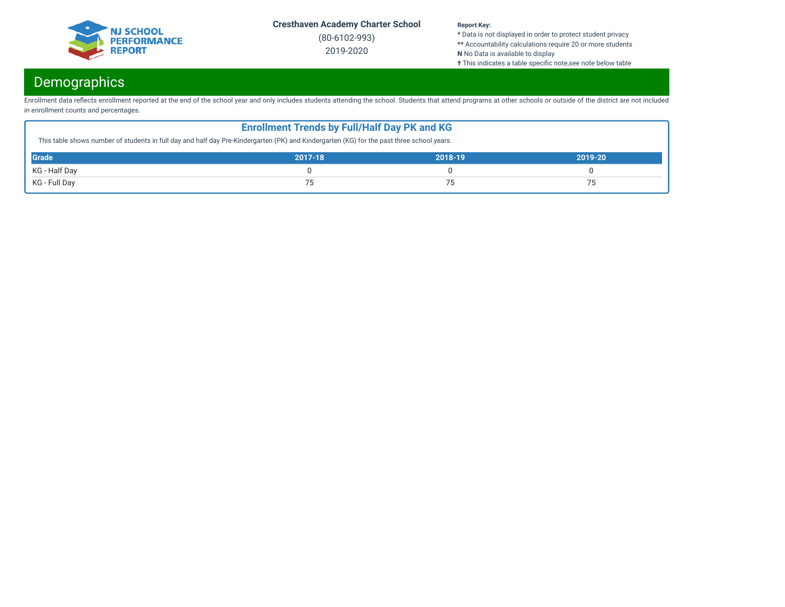

(80-6102-993) 2019-2020

#### **Report Key:**

**\*** Data is not displayed in order to protect student privacy **\*\*** Accountability calculations require 20 or more students **N** No Data is available to display

**†** This indicates a table specific note,see note below table

# Demographics

Enrollment data reflects enrollment reported at the end of the school year and only includes students attending the school. Students that attend programs at other schools or outside of the district are not included in enrollment counts and percentages.

| <b>Enrollment Trends by Full/Half Day PK and KG</b><br>This table shows number of students in full day and half day Pre-Kindergarten (PK) and Kindergarten (KG) for the past three school years. |  |  |  |  |  |  |
|--------------------------------------------------------------------------------------------------------------------------------------------------------------------------------------------------|--|--|--|--|--|--|
| Grade<br>2017-18<br>2018-19<br>2019-20                                                                                                                                                           |  |  |  |  |  |  |
| KG - Half Day                                                                                                                                                                                    |  |  |  |  |  |  |
| KG - Full Day<br>75<br>フロ                                                                                                                                                                        |  |  |  |  |  |  |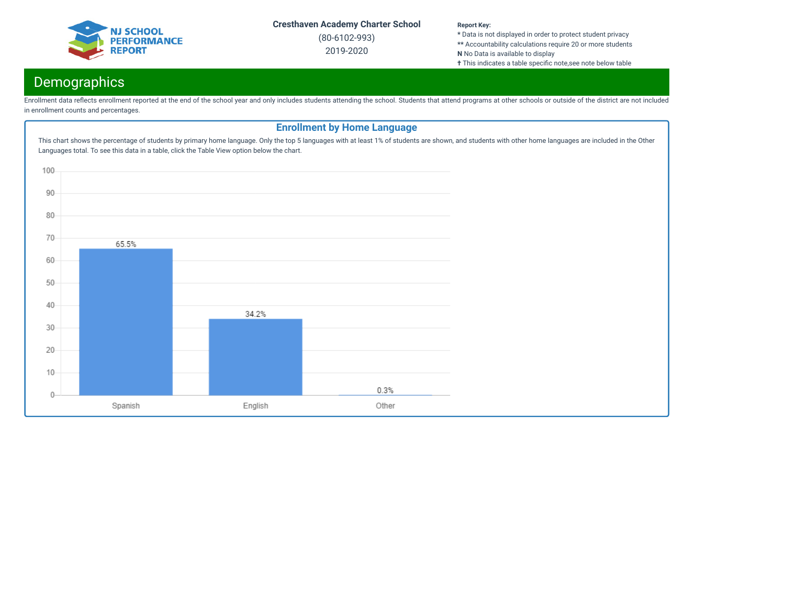

(80-6102-993) 2019-2020

#### **Report Key:**

**\*** Data is not displayed in order to protect student privacy **\*\*** Accountability calculations require 20 or more students **N** No Data is available to display

**†** This indicates a table specific note,see note below table

# **Demographics**

Enrollment data reflects enrollment reported at the end of the school year and only includes students attending the school. Students that attend programs at other schools or outside of the district are not included in enrollment counts and percentages.

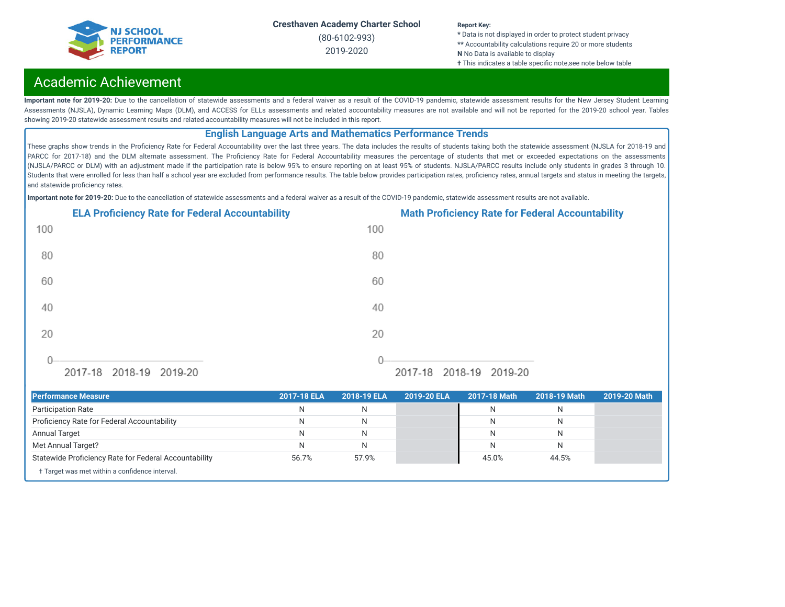

(80-6102-993) 2019-2020

#### **Report Key:**

**\*** Data is not displayed in order to protect student privacy **\*\*** Accountability calculations require 20 or more students **N** No Data is available to display **†** This indicates a table specific note,see note below table

## Academic Achievement

Important note for 2019-20: Due to the cancellation of statewide assessments and a federal waiver as a result of the COVID-19 pandemic, statewide assessment results for the New Jersey Student Learning Assessments (NJSLA), Dynamic Learning Maps (DLM), and ACCESS for ELLs assessments and related accountability measures are not available and will not be reported for the 2019-20 school year. Tables showing 2019-20 statewide assessment results and related accountability measures will not be included in this report.

## **English Language Arts and Mathematics Performance Trends**

These graphs show trends in the Proficiency Rate for Federal Accountability over the last three years. The data includes the results of students taking both the statewide assessment (NJSLA for 2018-19 and PARCC for 2017-18) and the DLM alternate assessment. The Proficiency Rate for Federal Accountability measures the percentage of students that met or exceeded expectations on the assessments (NJSLA/PARCC or DLM) with an adjustment made if the participation rate is below 95% to ensure reporting on at least 95% of students. NJSLA/PARCC results include only students in grades 3 through 10. Students that were enrolled for less than half a school year are excluded from performance results. The table below provides participation rates, proficiency rates, annual targets and status in meeting the targets, and statewide proficiency rates.

**Important note for 2019-20:** Due to the cancellation of statewide assessments and a federal waiver as a result of the COVID-19 pandemic, statewide assessment results are not available.



| <b>Performance Measure</b>                            | 2017-18 ELA | 2018-19 ELA | 2019-20 ELA | 2017-18 Math | 2018-19 Math | 2019-20 Math |
|-------------------------------------------------------|-------------|-------------|-------------|--------------|--------------|--------------|
| <b>Participation Rate</b>                             | N           | N           |             |              |              |              |
| Proficiency Rate for Federal Accountability           | N           | N           |             | N            |              |              |
| <b>Annual Target</b>                                  | N           | N           |             |              |              |              |
| Met Annual Target?                                    | N           | N           |             |              |              |              |
| Statewide Proficiency Rate for Federal Accountability | 56.7%       | 57.9%       |             | 45.0%        | 44.5%        |              |
| † Target was met within a confidence interval.        |             |             |             |              |              |              |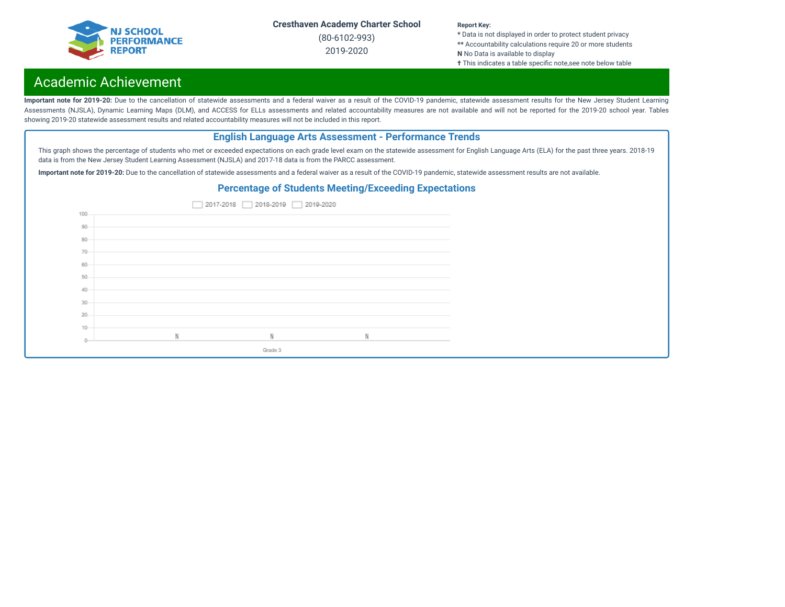

(80-6102-993) 2019-2020

#### **Report Key:**

**\*** Data is not displayed in order to protect student privacy **\*\*** Accountability calculations require 20 or more students **N** No Data is available to display **†** This indicates a table specific note,see note below table

## Academic Achievement

Important note for 2019-20: Due to the cancellation of statewide assessments and a federal waiver as a result of the COVID-19 pandemic, statewide assessment results for the New Jersey Student Learning Assessments (NJSLA), Dynamic Learning Maps (DLM), and ACCESS for ELLs assessments and related accountability measures are not available and will not be reported for the 2019-20 school year. Tables showing 2019-20 statewide assessment results and related accountability measures will not be included in this report.

## **English Language Arts Assessment - Performance Trends**

This graph shows the percentage of students who met or exceeded expectations on each grade level exam on the statewide assessment for English Language Arts (ELA) for the past three years. 2018-19 data is from the New Jersey Student Learning Assessment (NJSLA) and 2017-18 data is from the PARCC assessment.

**Important note for 2019-20:** Due to the cancellation of statewide assessments and a federal waiver as a result of the COVID-19 pandemic, statewide assessment results are not available.

## **Percentage of Students Meeting/Exceeding Expectations**

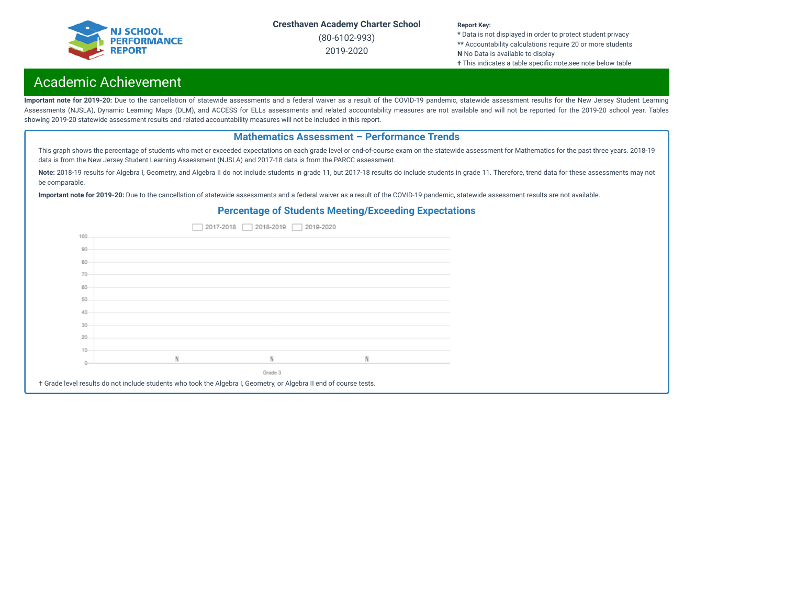

(80-6102-993) 2019-2020

#### **Report Key:**

**\*** Data is not displayed in order to protect student privacy **\*\*** Accountability calculations require 20 or more students **N** No Data is available to display **†** This indicates a table specific note,see note below table

## Academic Achievement

Important note for 2019-20: Due to the cancellation of statewide assessments and a federal waiver as a result of the COVID-19 pandemic, statewide assessment results for the New Jersey Student Learning Assessments (NJSLA), Dynamic Learning Maps (DLM), and ACCESS for ELLs assessments and related accountability measures are not available and will not be reported for the 2019-20 school year. Tables showing 2019-20 statewide assessment results and related accountability measures will not be included in this report.

## **Mathematics Assessment – Performance Trends**

This graph shows the percentage of students who met or exceeded expectations on each grade level or end-of-course exam on the statewide assessment for Mathematics for the past three years. 2018-19 data is from the New Jersey Student Learning Assessment (NJSLA) and 2017-18 data is from the PARCC assessment.

Note: 2018-19 results for Algebra I, Geometry, and Algebra II do not include students in grade 11, but 2017-18 results do include students in grade 11. Therefore, trend data for these assessments may not be comparable.

**Important note for 2019-20:** Due to the cancellation of statewide assessments and a federal waiver as a result of the COVID-19 pandemic, statewide assessment results are not available.

### **Percentage of Students Meeting/Exceeding Expectations**

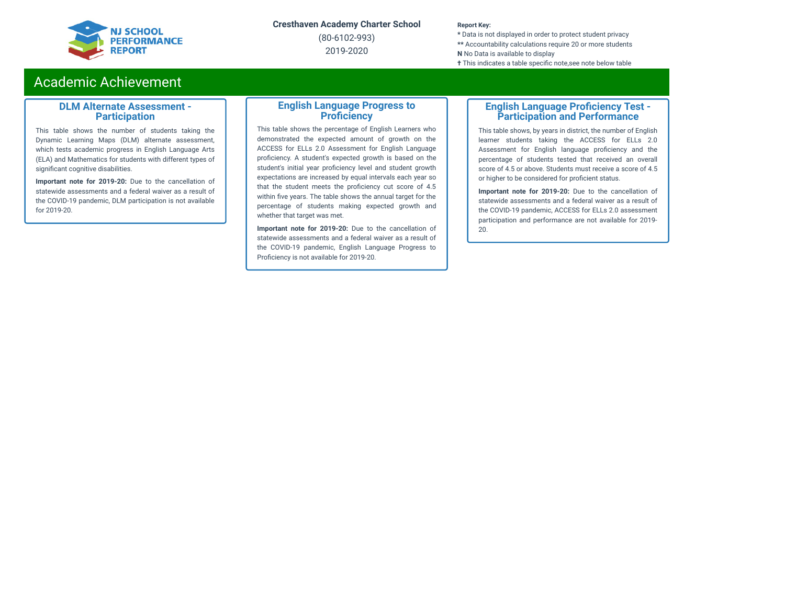

(80-6102-993) 2019-2020

#### **Report Key:**

**\*** Data is not displayed in order to protect student privacy **\*\*** Accountability calculations require 20 or more students **N** No Data is available to display **†** This indicates a table specific note, see note below table

## Academic Achievement

### **DLM Alternate Assessment - Participation**

This table shows the number of students taking the Dynamic Learning Maps (DLM) alternate assessment, which tests academic progress in English Language Arts (ELA) and Mathematics for students with different types of significant cognitive disabilities.

**Important note for 2019-20:** Due to the cancellation of statewide assessments and a federal waiver as a result of the COVID-19 pandemic, DLM participation is not available for 2019-20.

### **English Language Progress to Proficiency**

This table shows the percentage of English Learners who demonstrated the expected amount of growth on the ACCESS for ELLs 2.0 Assessment for English Language proficiency. A student's expected growth is based on the student's initial year proficiency level and student growth expectations are increased by equal intervals each year so that the student meets the proficiency cut score of 4.5 within five years. The table shows the annual target for the percentage of students making expected growth and whether that target was met.

**Important note for 2019-20:** Due to the cancellation of statewide assessments and a federal waiver as a result of the COVID-19 pandemic, English Language Progress to Proficiency is not available for 2019-20.

### **English Language Proficiency Test -Participation and Performance**

This table shows, by years in district, the number of English learner students taking the ACCESS for ELLs 2.0 Assessment for English language proficiency and the percentage of students tested that received an overall score of 4.5 or above. Students must receive a score of 4.5 or higher to be considered for proficient status.

**Important note for 2019-20:** Due to the cancellation of statewide assessments and a federal waiver as a result of the COVID-19 pandemic, ACCESS for ELLs 2.0 assessment participation and performance are not available for 2019- 20.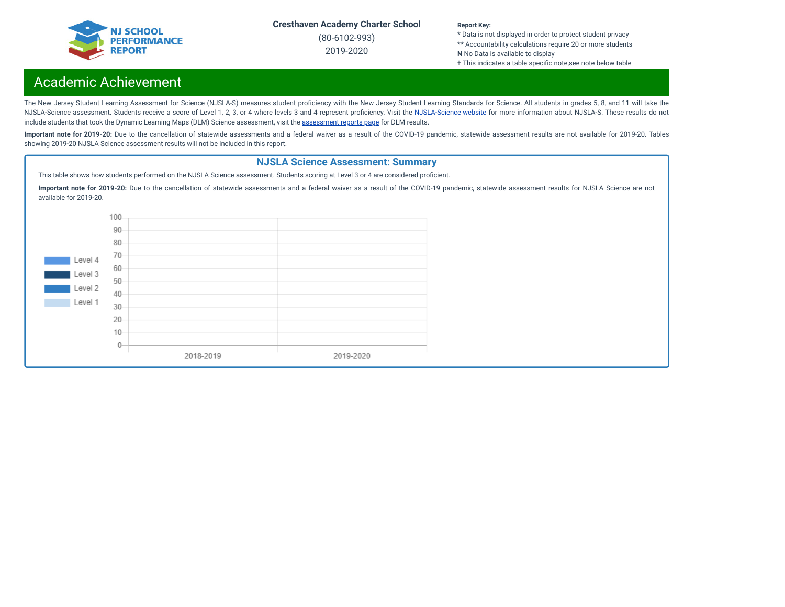

(80-6102-993) 2019-2020

#### **Report Key:**

**\*** Data is not displayed in order to protect student privacy **\*\*** Accountability calculations require 20 or more students **N** No Data is available to display **†** This indicates a table specific note, see note below table

## Academic Achievement

The New Jersey Student Learning Assessment for Science (NJSLA-S) measures student proficiency with the New Jersey Student Learning Standards for Science. All students in grades 5, 8, and 11 will take the [NJSLA-Science](https://www.nj.gov/education/assessment/sla/science/) assessment. Students receive a score of Level 1, 2, 3, or 4 where levels 3 and 4 represent proficiency. Visit the NJSLA-Science website for more information about NJSLA-S. These results do not include students that took the Dynamic Learning Maps (DLM) Science [assessment](https://www.nj.gov/education/schools/achievement/), visit the assessment reports page for DLM results.

Important note for 2019-20: Due to the cancellation of statewide assessments and a federal waiver as a result of the COVID-19 pandemic, statewide assessment results are not available for 2019-20. Tables showing 2019-20 NJSLA Science assessment results will not be included in this report.

## **NJSLA Science Assessment: Summary**

This table shows how students performed on the NJSLA Science assessment. Students scoring at Level 3 or 4 are considered proficient.

**Important note for 2019-20:** Due to the cancellation of statewide assessments and a federal waiver as a result of the COVID-19 pandemic, statewide assessment results for NJSLA Science are not available for 2019-20.

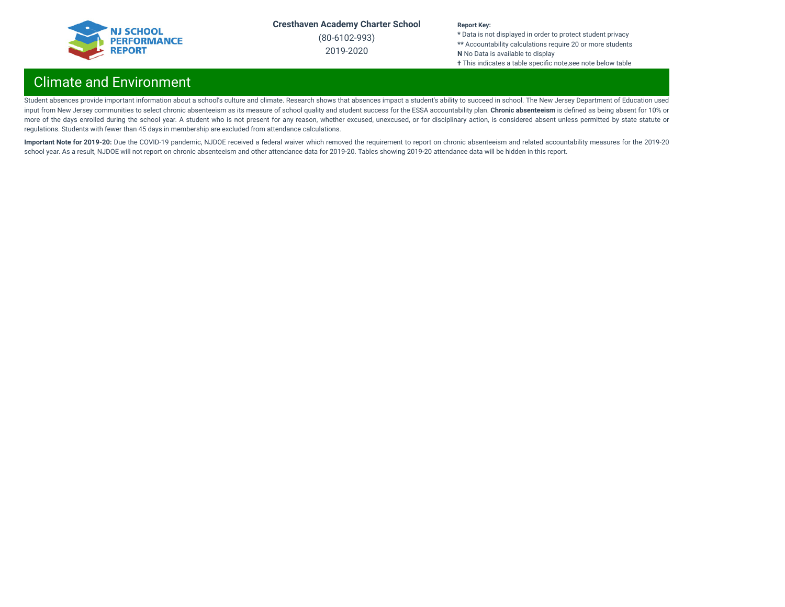

(80-6102-993) 2019-2020

#### **Report Key:**

**\*** Data is not displayed in order to protect student privacy **\*\*** Accountability calculations require 20 or more students **N** No Data is available to display **†** This indicates a table specific note,see note below table

## Climate and Environment

Student absences provide important information about a school's culture and climate. Research shows that absences impact a student's ability to succeed in school. The New Jersey Department of Education used input from New Jersey communities to select chronic absenteeism as its measure of school quality and student success for the ESSA accountability plan. **Chronic absenteeism** is dened as being absent for 10% or more of the days enrolled during the school year. A student who is not present for any reason, whether excused, unexcused, or for disciplinary action, is considered absent unless permitted by state statute or regulations. Students with fewer than 45 days in membership are excluded from attendance calculations.

Important Note for 2019-20: Due the COVID-19 pandemic, NJDOE received a federal waiver which removed the requirement to report on chronic absenteeism and related accountability measures for the 2019-20 school year. As a result, NJDOE will not report on chronic absenteeism and other attendance data for 2019-20. Tables showing 2019-20 attendance data will be hidden in this report.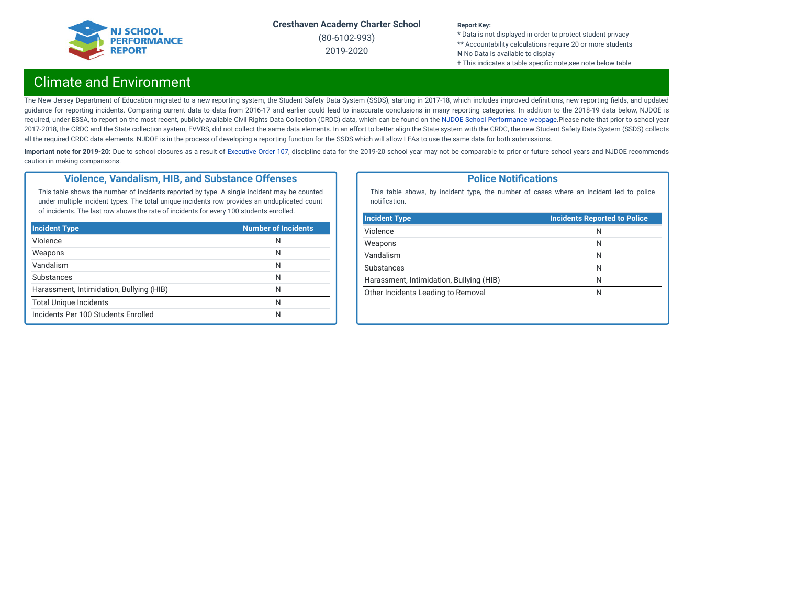

(80-6102-993) 2019-2020

#### **Report Key:**

**\*** Data is not displayed in order to protect student privacy **\*\*** Accountability calculations require 20 or more students **N** No Data is available to display **†** This indicates a table specific note, see note below table

## Climate and Environment

The New Jersey Department of Education migrated to a new reporting system, the Student Safety Data System (SSDS), starting in 2017-18, which includes improved definitions, new reporting fields, and updated guidance for reporting incidents. Comparing current data to data from 2016-17 and earlier could lead to inaccurate conclusions in many reporting categories. In addition to the 2018-19 data below, NJDOE is required, under ESSA, to report on the most recent, publicly-available Civil Rights Data Collection (CRDC) data, which can be found on the NJDOE School [Performance](https://www.nj.gov/education/schoolperformance/climate/) webpage.Please note that prior to school year 2017-2018, the CRDC and the State collection system, EVVRS, did not collect the same data elements. In an effort to better align the State system with the CRDC, the new Student Safety Data System (SSDS) collects all the required CRDC data elements. NJDOE is in the process of developing a reporting function for the SSDS which will allow LEAs to use the same data for both submissions.

Important note for 2019-20: Due to school closures as a result of [Executive](https://nj.gov/infobank/eo/056murphy/pdf/EO-107.pdf) Order 107, discipline data for the 2019-20 school year may not be comparable to prior or future school years and NJDOE recommends caution in making comparisons.

## **Violence, Vandalism, HIB, and Substance Offenses**

This table shows the number of incidents reported by type. A single incident may be counted under multiple incident types. The total unique incidents row provides an unduplicated count of incidents. The last row shows the rate of incidents for every 100 students enrolled.

| <b>Incident Type</b>                     | <b>Number of Incidents</b> |
|------------------------------------------|----------------------------|
| Violence                                 | N                          |
| Weapons                                  | N                          |
| Vandalism                                | N                          |
| Substances                               | N                          |
| Harassment, Intimidation, Bullying (HIB) | N                          |
| <b>Total Unique Incidents</b>            | N                          |
| Incidents Per 100 Students Enrolled      | N                          |

### **Police Notifications**

This table shows, by incident type, the number of cases where an incident led to police notification.

| <b>Incident Type</b>                     | <b>Incidents Reported to Police</b> |
|------------------------------------------|-------------------------------------|
| Violence                                 | N                                   |
| Weapons                                  | N                                   |
| Vandalism                                | N                                   |
| Substances                               | N                                   |
| Harassment, Intimidation, Bullying (HIB) | N                                   |
| Other Incidents Leading to Removal       | N                                   |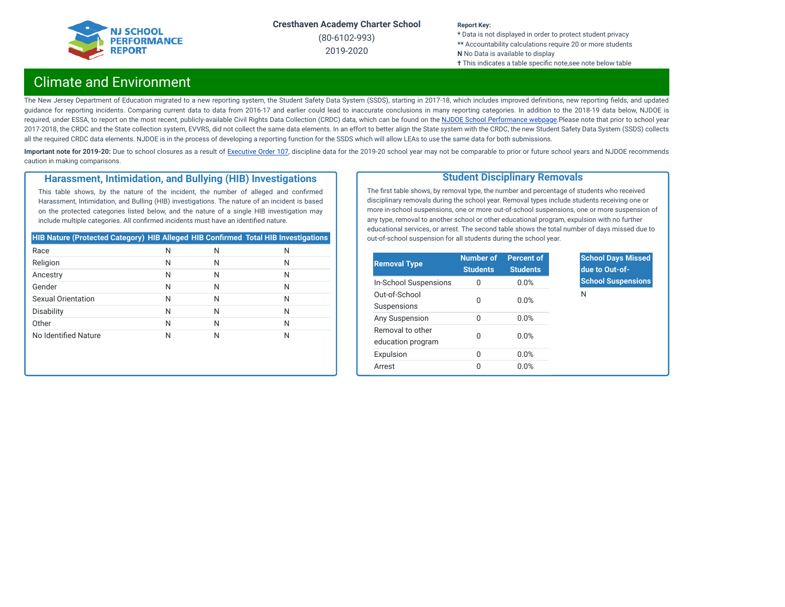

(80-6102-993) 2019-2020

#### **Report Key:**

**\*** Data is not displayed in order to protect student privacy **\*\*** Accountability calculations require 20 or more students **N** No Data is available to display **†** This indicates a table specific note,see note below table

## Climate and Environment

The New Jersey Department of Education migrated to a new reporting system, the Student Safety Data System (SSDS), starting in 2017-18, which includes improved definitions, new reporting fields, and updated guidance for reporting incidents. Comparing current data to data from 2016-17 and earlier could lead to inaccurate conclusions in many reporting categories. In addition to the 2018-19 data below, NJDOE is required, under ESSA, to report on the most recent, publicly-available Civil Rights Data Collection (CRDC) data, which can be found on the NJDOE School [Performance](https://www.nj.gov/education/schoolperformance/climate/) webpage.Please note that prior to school year 2017-2018, the CRDC and the State collection system, EVVRS, did not collect the same data elements. In an effort to better align the State system with the CRDC, the new Student Safety Data System (SSDS) collects all the required CRDC data elements. NJDOE is in the process of developing a reporting function for the SSDS which will allow LEAs to use the same data for both submissions.

Important note for 2019-20: Due to school closures as a result of [Executive](https://nj.gov/infobank/eo/056murphy/pdf/EO-107.pdf) Order 107, discipline data for the 2019-20 school year may not be comparable to prior or future school years and NJDOE recommends caution in making comparisons.

### **Harassment, Intimidation, and Bullying (HIB) Investigations**

This table shows, by the nature of the incident, the number of alleged and confirmed Harassment, Intimidation, and Bulling (HIB) investigations. The nature of an incident is based on the protected categories listed below, and the nature of a single HIB investigation may include multiple categories. All confirmed incidents must have an identified nature.

| <b>HIB Nature (Protected Category) HIB Alleged HIB Confirmed Total HIB Investigations</b> |   |   |   |
|-------------------------------------------------------------------------------------------|---|---|---|
| Race                                                                                      | N | N | Ν |
| Religion                                                                                  | N | N | Ν |
| Ancestry                                                                                  | N | N | Ν |
| Gender                                                                                    | N | N | Ν |
| <b>Sexual Orientation</b>                                                                 | N | N | Ν |
| <b>Disability</b>                                                                         | N | N | Ν |
| Other                                                                                     | N | N | Ν |
| No Identified Nature                                                                      | Ν | N | Ν |

## **Student Disciplinary Removals**

The first table shows, by removal type, the number and percentage of students who received disciplinary removals during the school year. Removal types include students receiving one or more in-school suspensions, one or more out-of-school suspensions, one or more suspension of any type, removal to another school or other educational program, expulsion with no further educational services, or arrest. The second table shows the total number of days missed due to out-of-school suspension for all students during the school year.

| <b>Removal Type</b>                   | <b>Number of</b><br><b>Students</b> | <b>Percent of</b><br><b>Students</b> |
|---------------------------------------|-------------------------------------|--------------------------------------|
| In-School Suspensions                 | $\Omega$                            | 0.0%                                 |
| Out-of-School<br>Suspensions          | U                                   | 0.0%                                 |
| Any Suspension                        | $\Omega$                            | 0.0%                                 |
| Removal to other<br>education program | O                                   | 0.0%                                 |
| Expulsion                             | 0                                   | 0.0%                                 |
| Arrest                                | O                                   | 0.0%                                 |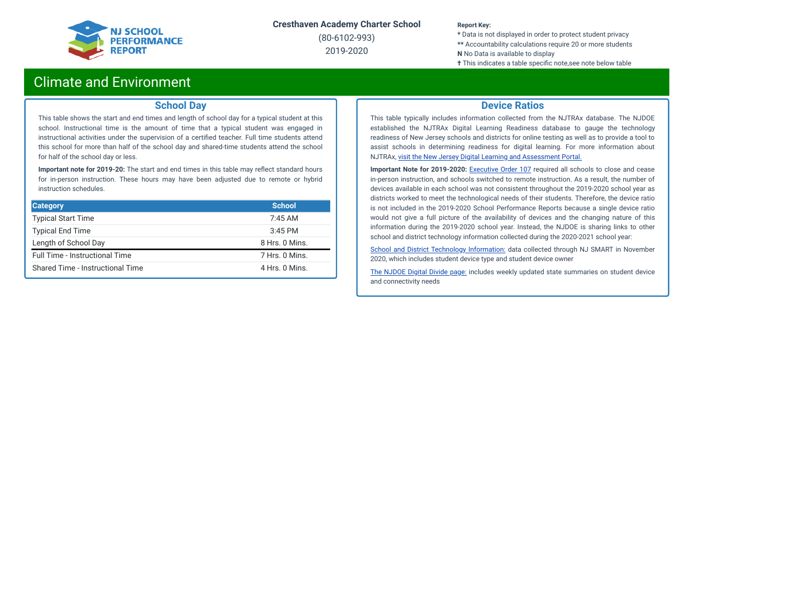

(80-6102-993) 2019-2020

#### **Report Key:**

**\*** Data is not displayed in order to protect student privacy **\*\*** Accountability calculations require 20 or more students **N** No Data is available to display

**†** This indicates a table specific note,see note below table

## Climate and Environment

### **School Day**

This table shows the start and end times and length of school day for a typical student at this school. Instructional time is the amount of time that a typical student was engaged in instructional activities under the supervision of a certified teacher. Full time students attend this school for more than half of the school day and shared-time students attend the school for half of the school day or less.

**Important note for 2019-20:** The start and end times in this table may reflect standard hours for in-person instruction. These hours may have been adjusted due to remote or hybrid instruction schedules.

| <b>Category</b>                       | <b>School</b>  |
|---------------------------------------|----------------|
| <b>Typical Start Time</b>             | $7:45$ AM      |
| <b>Typical End Time</b>               | $3:45$ PM      |
| Length of School Day                  | 8 Hrs. 0 Mins. |
| <b>Full Time - Instructional Time</b> | 7 Hrs. 0 Mins. |
| Shared Time - Instructional Time      | 4 Hrs. 0 Mins. |

### **Device Ratios**

This table typically includes information collected from the NJTRAx database. The NJDOE established the NJTRAx Digital Learning Readiness database to gauge the technology readiness of New Jersey schools and districts for online testing as well as to provide a tool to assist schools in determining readiness for digital learning. For more information about NJTRAx, visit the New Jersey Digital Learning and [Assessment](https://njdigitallearning.org/njtrax/) Portal.

**Important Note for 2019-2020:** [Executive](https://nj.gov/infobank/eo/056murphy/pdf/EO-107.pdf) Order 107 required all schools to close and cease in-person instruction, and schools switched to remote instruction. As a result, the number of devices available in each school was not consistent throughout the 2019-2020 school year as districts worked to meet the technological needs of their students. Therefore, the device ratio is not included in the 2019-2020 School Performance Reports because a single device ratio would not give a full picture of the availability of devices and the changing nature of this information during the 2019-2020 school year. Instead, the NJDOE is sharing links to other school and district technology information collected during the 2020-2021 school year:

School and District Technology [Information:](https://www.state.nj.us/education/schoolperformance/climate/docs/DistrictReportedStudentDeviceInformation.xlsx) data collected through NJ SMART in November 2020, which includes student device type and student device owner

The [NJDOE](https://www.nj.gov/education/grants/digitaldivide/techsurveys.shtml) Digital Divide page: includes weekly updated state summaries on student device and connectivity needs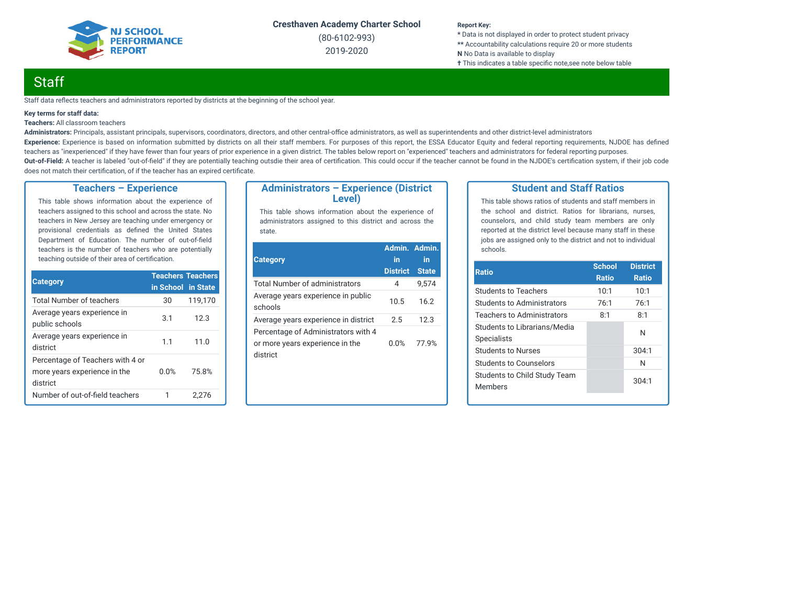

(80-6102-993) 2019-2020

#### **Report Key:**

**\*** Data is not displayed in order to protect student privacy **\*\*** Accountability calculations require 20 or more students **N** No Data is available to display **†** This indicates a table specific note, see note below table

## **Staff**

Staff data reflects teachers and administrators reported by districts at the beginning of the school year.

#### **Key terms for staff data:**

#### **Teachers:** All classroom teachers

Administrators: Principals, assistant principals, supervisors, coordinators, directors, and other central-office administrators, as well as superintendents and other district-level administrators Experience: Experience is based on information submitted by districts on all their staff members. For purposes of this report, the ESSA Educator Equity and federal reporting requirements, NJDOE has defined teachers as "inexperienced" if they have fewer than four years of prior experience in a given district. The tables below report on "experienced" teachers and administrators for federal reporting purposes. Out-of-Field: A teacher is labeled "out-of-field" if they are potentially teaching outsdie their area of certification. This could occur if the teacher cannot be found in the NJDOE's certification system, if their job code does not match their certification, of if the teacher has an expired certificate.

### **Teachers – Experience**

This table shows information about the experience of teachers assigned to this school and across the state. No teachers in New Jersey are teaching under emergency or provisional credentials as defined the United States Department of Education. The number of out-of-field teachers is the number of teachers who are potentially teaching outside of their area of certification.

| <b>Category</b>                                                              | <b>Teachers Teachers</b> |         |
|------------------------------------------------------------------------------|--------------------------|---------|
|                                                                              | in School in State       |         |
| <b>Total Number of teachers</b>                                              | 30                       | 119,170 |
| Average years experience in<br>public schools                                | 3.1                      | 12.3    |
| Average years experience in<br>district                                      | 11                       | 11.0    |
| Percentage of Teachers with 4 or<br>more years experience in the<br>district | 0.0%                     | 75.8%   |
| Number of out-of-field teachers                                              |                          | 2.276   |

### **Administrators – Experience (District Level)**

This table shows information about the experience of administrators assigned to this district and across the state.

| <b>Category</b>                                                                    | Admin. Admin.<br>in<br><b>District</b> | in<br><b>State</b> |
|------------------------------------------------------------------------------------|----------------------------------------|--------------------|
| Total Number of administrators                                                     | 4                                      | 9.574              |
| Average years experience in public<br>schools                                      | 10.5                                   | 16.2               |
| Average years experience in district                                               | 2.5                                    | 12.3               |
| Percentage of Administrators with 4<br>or more years experience in the<br>district | 0.0%                                   | 77.9%              |

### **Student and Staff Ratios**

This table shows ratios of students and staff members in the school and district. Ratios for librarians, nurses, counselors, and child study team members are only reported at the district level because many staff in these jobs are assigned only to the district and not to individual schools.

| <b>School</b> | <b>District</b> |
|---------------|-----------------|
| <b>Ratio</b>  | <b>Ratio</b>    |
| 10:1          | 10:1            |
| 76:1          | 76:1            |
| 8:1           | 8:1             |
|               | N               |
|               |                 |
|               | 304:1           |
|               | N               |
|               | 304:1           |
|               |                 |
|               |                 |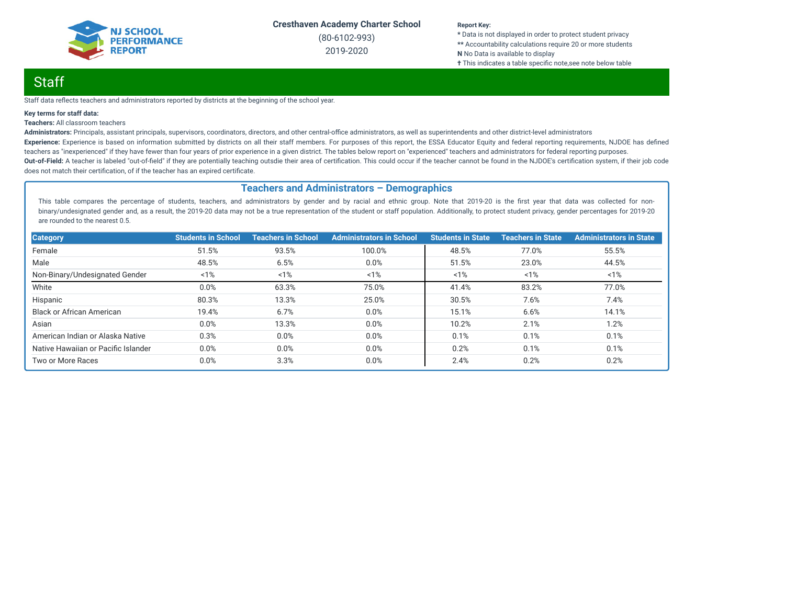

(80-6102-993) 2019-2020

#### **Report Key:**

**\*** Data is not displayed in order to protect student privacy **\*\*** Accountability calculations require 20 or more students **N** No Data is available to display **†** This indicates a table specific note, see note below table

## Staff

Staff data reflects teachers and administrators reported by districts at the beginning of the school year.

#### **Key terms for staff data:**

#### **Teachers:** All classroom teachers

Administrators: Principals, assistant principals, supervisors, coordinators, directors, and other central-office administrators, as well as superintendents and other district-level administrators Experience: Experience is based on information submitted by districts on all their staff members. For purposes of this report, the ESSA Educator Equity and federal reporting requirements, NJDOE has defined teachers as "inexperienced" if they have fewer than four years of prior experience in a given district. The tables below report on "experienced" teachers and administrators for federal reporting purposes. Out-of-Field: A teacher is labeled "out-of-field" if they are potentially teaching outsdie their area of certification. This could occur if the teacher cannot be found in the NJDOE's certification system, if their job code does not match their certification, of if the teacher has an expired certificate.

### **Teachers and Administrators – Demographics**

This table compares the percentage of students, teachers, and administrators by gender and by racial and ethnic group. Note that 2019-20 is the first year that data was collected for nonbinary/undesignated gender and, as a result, the 2019-20 data may not be a true representation of the student or staff population. Additionally, to protect student privacy, gender percentages for 2019-20 are rounded to the nearest 0.5.

| <b>Category</b>                     | <b>Students in School</b> | <b>Teachers in School</b> | <b>Administrators in School</b> | <b>Students in State</b> | <b>Teachers in State</b> | <b>Administrators in State</b> |
|-------------------------------------|---------------------------|---------------------------|---------------------------------|--------------------------|--------------------------|--------------------------------|
| Female                              | 51.5%                     | 93.5%                     | 100.0%                          | 48.5%                    | 77.0%                    | 55.5%                          |
| Male                                | 48.5%                     | 6.5%                      | 0.0%                            | 51.5%                    | 23.0%                    | 44.5%                          |
| Non-Binary/Undesignated Gender      | 1%                        | 1%                        | 1%                              | 1%                       | 1%                       | $1\%$                          |
| White                               | 0.0%                      | 63.3%                     | 75.0%                           | 41.4%                    | 83.2%                    | 77.0%                          |
| Hispanic                            | 80.3%                     | 13.3%                     | 25.0%                           | 30.5%                    | 7.6%                     | 7.4%                           |
| <b>Black or African American</b>    | 19.4%                     | 6.7%                      | 0.0%                            | 15.1%                    | 6.6%                     | 14.1%                          |
| Asian                               | 0.0%                      | 13.3%                     | 0.0%                            | 10.2%                    | 2.1%                     | 1.2%                           |
| American Indian or Alaska Native    | 0.3%                      | 0.0%                      | 0.0%                            | 0.1%                     | 0.1%                     | 0.1%                           |
| Native Hawaiian or Pacific Islander | 0.0%                      | 0.0%                      | 0.0%                            | 0.2%                     | 0.1%                     | 0.1%                           |
| Two or More Races                   | 0.0%                      | 3.3%                      | 0.0%                            | 2.4%                     | 0.2%                     | 0.2%                           |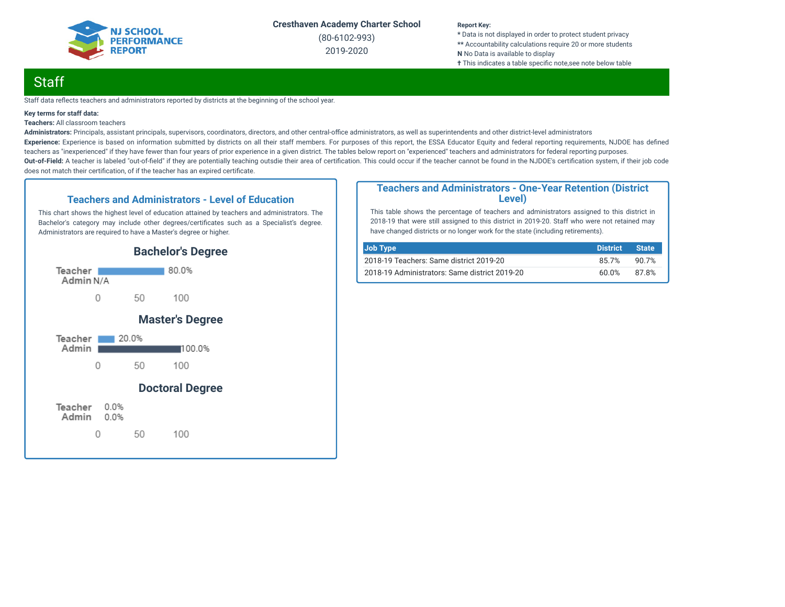

(80-6102-993) 2019-2020

#### **Report Key:**

**\*** Data is not displayed in order to protect student privacy **\*\*** Accountability calculations require 20 or more students **N** No Data is available to display **†** This indicates a table specific note, see note below table

## **Staff**

Staff data reflects teachers and administrators reported by districts at the beginning of the school year.

#### **Key terms for staff data:**

**Teachers:** All classroom teachers

Administrators: Principals, assistant principals, supervisors, coordinators, directors, and other central-office administrators, as well as superintendents and other district-level administrators Experience: Experience is based on information submitted by districts on all their staff members. For purposes of this report, the ESSA Educator Equity and federal reporting requirements, NJDOE has defined teachers as "inexperienced" if they have fewer than four years of prior experience in a given district. The tables below report on "experienced" teachers and administrators for federal reporting purposes. Out-of-Field: A teacher is labeled "out-of-field" if they are potentially teaching outsdie their area of certification. This could occur if the teacher cannot be found in the NJDOE's certification system, if their job code does not match their certification, of if the teacher has an expired certificate.

### **Teachers and Administrators - Level of Education**

This chart shows the highest level of education attained by teachers and administrators. The Bachelor's category may include other degrees/certificates such as a Specialist's degree. Administrators are required to have a Master's degree or higher.



### **Teachers and Administrators - One-Year Retention (District Level)**

This table shows the percentage of teachers and administrators assigned to this district in 2018-19 that were still assigned to this district in 2019-20. Staff who were not retained may have changed districts or no longer work for the state (including retirements).

| Job Type                                      | <b>District</b> | <b>State</b> |
|-----------------------------------------------|-----------------|--------------|
| 2018-19 Teachers: Same district 2019-20       | 85.7%           | 90.7%        |
| 2018-19 Administrators: Same district 2019-20 | 60.0%           | 87.8%        |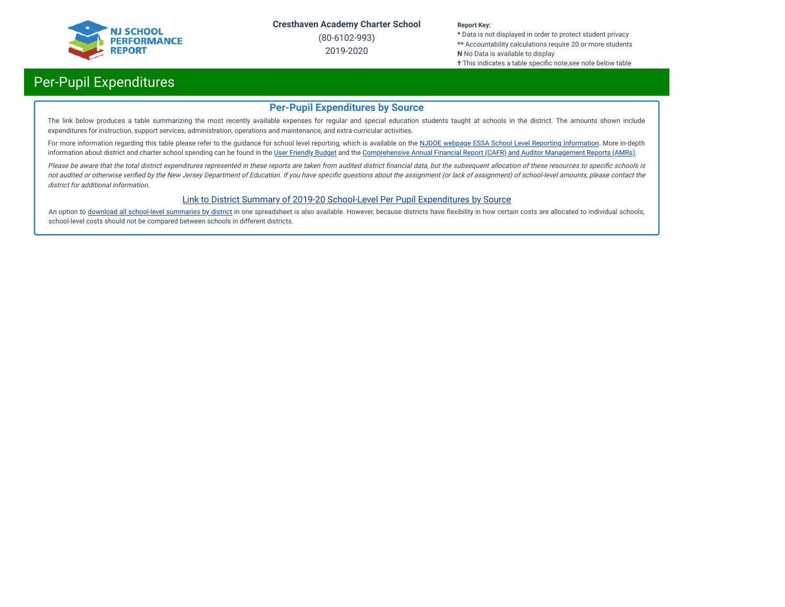

(80-6102-993) 2019-2020

#### **Report Key:**

**\*** Data is not displayed in order to protect student privacy **\*\*** Accountability calculations require 20 or more students **N** No Data is available to display

#### **†** This indicates a table specific note,see note below table

# Per-Pupil Expenditures

## **Per-Pupil Expenditures by Source**

The link below produces a table summarizing the most recently available expenses for regular and special education students taught at schools in the district. The amounts shown include expenditures for instruction, support services, administration, operations and maintenance, and extra-curricular activities.

For more information regarding this table please refer to the guidance for school level reporting, which is available on the NJDOE webpage ESSA School Level Reporting [Information](https://www.nj.gov/education/finance/fp/af/essa.shtml). More in-depth information about district and charter school spending can be found in the User [Friendly](https://www.nj.gov/education/finance/fp/ufb/) Budget and the [Comprehensive](https://www.nj.gov/education/finance/fp/cafr/search/) Annual Financial Report (CAFR) and Auditor Management Reports (AMRs).

Please be aware that the total district expenditures represented in these reports are taken from audited district financial data, but the subsequent allocation of these resources to specific schools is not audited or otherwise verified by the New Jersey Department of Education. If you have specific questions about the assignment (or lack of assignment) of school-level amounts, please contact the district for additional information.

### [Link to District Summary of 2019-20 School-Level Per Pupil Expenditures by Source](https://homeroom4.doe.state.nj.us/audsum/PpeReport?&did=6102&fileformat=html&reportname=PERFORMREPORT&fy=20)

An option to download all [school-level](https://homeroom4.doe.state.nj.us/audsum/PpeReport?&did=9999&fileformat=html&reportname=PERFORMREPORT&fy=20) summaries by district in one spreadsheet is also available. However, because districts have flexibility in how certain costs are allocated to individual schools, school-level costs should not be compared between schools in different districts.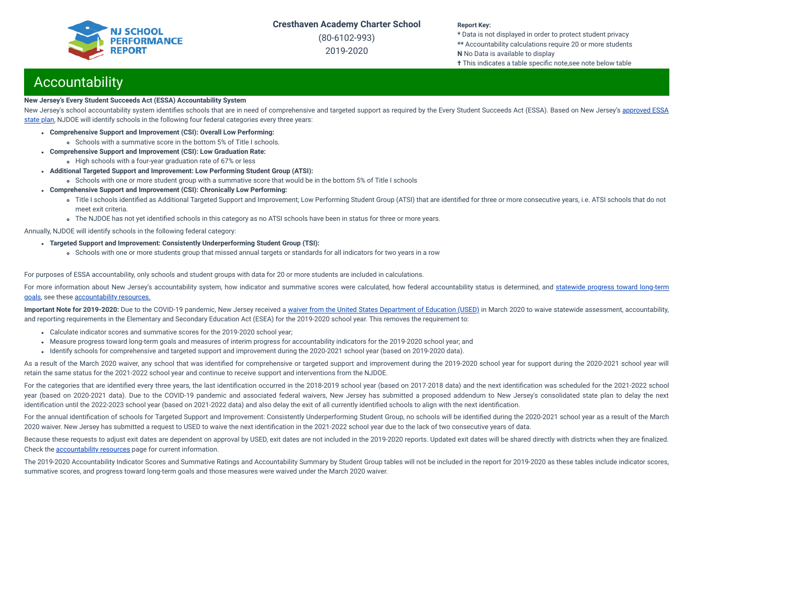(80-6102-993) 2019-2020

#### **Report Key:**

**\*** Data is not displayed in order to protect student privacy **\*\*** Accountability calculations require 20 or more students **N** No Data is available to display **†** This indicates a table specific note,see note below table

## **Accountability**

#### **New Jersey's Every Student Succeeds Act (ESSA) Accountability System**

New Jersey's school accountability system identifies schools that are in need of [comprehensive](https://www.nj.gov/education/ESSA/plan/plan.pdf) and targeted support as required by the Every Student Succeeds Act (ESSA). Based on New Jersey's approved ESSA state plan, NJDOE will identify schools in the following four federal categories every three years:

- **Comprehensive Support and Improvement (CSI): Overall Low Performing:**
	- Schools with a summative score in the bottom 5% of Title I schools.
- **Comprehensive Support and Improvement (CSI): Low Graduation Rate:**
- High schools with a four-year graduation rate of 67% or less
- **Additional Targeted Support and Improvement: Low Performing Student Group (ATSI):**
	- Schools with one or more student group with a summative score that would be in the bottom 5% of Title I schools
- **Comprehensive Support and Improvement (CSI): Chronically Low Performing:**
	- o Title I schools identified as Additional Targeted Support and Improvement; Low Performing Student Group (ATSI) that are identified for three or more consecutive years, i.e. ATSI schools that do not meet exit criteria.
	- The NJDOE has not yet identified schools in this category as no ATSI schools have been in status for three or more years.

Annually, NJDOE will identify schools in the following federal category:

- **Targeted Support and Improvement: Consistently Underperforming Student Group (TSI):**
	- Schools with one or more students group that missed annual targets or standards for all indicators for two years in a row

For purposes of ESSA accountability, only schools and student groups with data for 20 or more students are included in calculations.

For more information about New Jersey's [accountability](https://www.state.nj.us/education/title1/accountability/progress/19/2018-19%20Statewide%20Progress%20toward%20Long-Term%20Goals.pdf) system, how indicator and summative scores were calculated, how federal accountability status is determined, and statewide progress toward long-term goals, see these [accountability](https://www.state.nj.us/education/title1/accountability/progress/20) resources.

Important Note for 2019-2020: Due to the COVID-19 pandemic, New Jersey received a waiver from the United States [Department](https://www.nj.gov/education/covid19/news/docs/Accountability%20and%20School%20Identification,%20and%20Reporting%20Requirement%20Waiver%20Word.pdf) of Education (USED) in March 2020 to waive statewide assessment, accountability, and reporting requirements in the Elementary and Secondary Education Act (ESEA) for the 2019-2020 school year. This removes the requirement to:

- Calculate indicator scores and summative scores for the 2019-2020 school year;
- Measure progress toward long-term goals and measures of interim progress for accountability indicators for the 2019-2020 school year; and
- Identify schools for comprehensive and targeted support and improvement during the 2020-2021 school year (based on 2019-2020 data).

As a result of the March 2020 waiver, any school that was identified for comprehensive or targeted support and improvement during the 2019-2020 school year for support during the 2020-2021 school year will retain the same status for the 2021-2022 school year and continue to receive support and interventions from the NJDOE.

For the categories that are identified every three years, the last identification occurred in the 2018-2019 school year (based on 2017-2018 data) and the next identification was scheduled for the 2021-2022 school year (based on 2020-2021 data). Due to the COVID-19 pandemic and associated federal waivers, New Jersey has submitted a proposed addendum to New Jersey's consolidated state plan to delay the next identification until the 2022-2023 school year (based on 2021-2022 data) and also delay the exit of all currently identified schools to align with the next identification.

For the annual identification of schools for Targeted Support and Improvement: Consistently Underperforming Student Group, no schools will be identified during the 2020-2021 school year as a result of the March 2020 waiver. New Jersey has submitted a request to USED to waive the next identification in the 2021-2022 school year due to the lack of two consecutive years of data.

Because these requests to adjust exit dates are dependent on approval by USED, exit dates are not included in the 2019-2020 reports. Updated exit dates will be shared directly with districts when they are finalized. Check the [accountability](https://www.state.nj.us/education/title1/accountability/progress/20) resources page for current information.

The 2019-2020 Accountability Indicator Scores and Summative Ratings and Accountability Summary by Student Group tables will not be included in the report for 2019-2020 as these tables include indicator scores, summative scores, and progress toward long-term goals and those measures were waived under the March 2020 waiver.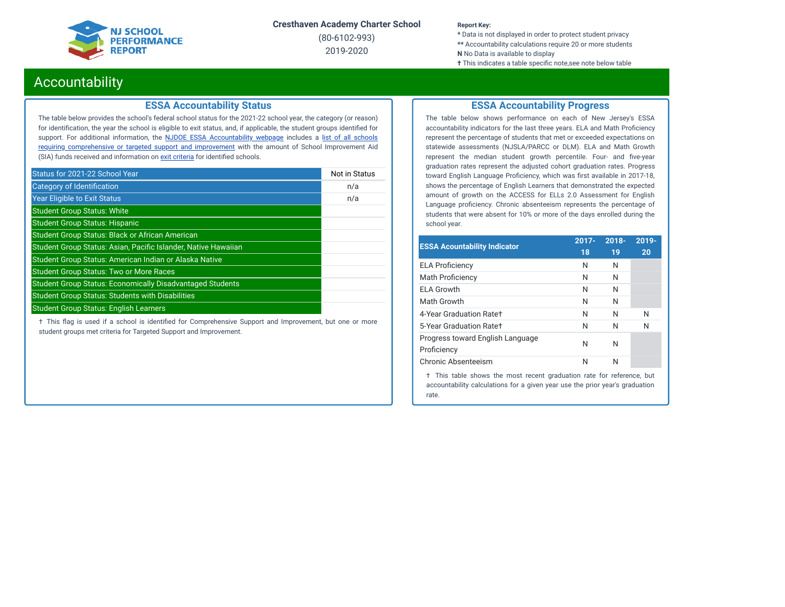## **JJ SCHOOL PERFORMANCE REPORT**

**Cresthaven Academy Charter School**

(80-6102-993) 2019-2020

#### **Report Key:**

**\*** Data is not displayed in order to protect student privacy **\*\*** Accountability calculations require 20 or more students **N** No Data is available to display **†** This indicates a table specific note, see note below table

## Accountability

## **ESSA Accountability Status**

The table below provides the school's federal school status for the 2021-22 school year, the category (or reason) for identification, the year the school is eligible to exit status, and, if applicable, the student groups identified for support. For additional information, the **NJDOE ESSA [Accountability](https://www.state.nj.us/education/title1/accountability/progress/20/) webpage** includes a list of all schools requiring [comprehensive](https://www.state.nj.us/education/title1/accountability/progress/19/CAP%20Comprehensive_Targeted_Schools.xlsx) or targeted support and improvement with the amount of School Improvement Aid (SIA) funds received and information on exit [criteria](https://www.state.nj.us/education/title1/accountability/progress/20/ESSAExitCriteriaDocument.pdf) for identified schools.

| Status for 2021-22 School Year                                   | Not in Status |
|------------------------------------------------------------------|---------------|
| Category of Identification                                       | n/a           |
| <b>Year Eligible to Exit Status</b>                              | n/a           |
| <b>Student Group Status: White</b>                               |               |
| <b>Student Group Status: Hispanic</b>                            |               |
| <b>Student Group Status: Black or African American</b>           |               |
| Student Group Status: Asian, Pacific Islander, Native Hawaiian   |               |
| Student Group Status: American Indian or Alaska Native           |               |
| <b>Student Group Status: Two or More Races</b>                   |               |
| <b>Student Group Status: Economically Disadvantaged Students</b> |               |
| <b>Student Group Status: Students with Disabilities</b>          |               |
| <b>Student Group Status: English Learners</b>                    |               |

 $\dagger$  This flag is used if a school is identified for Comprehensive Support and Improvement, but one or more student groups met criteria for Targeted Support and Improvement.

## **ESSA Accountability Progress**

The table below shows performance on each of New Jersey's ESSA accountability indicators for the last three years. ELA and Math Proficiency represent the percentage of students that met or exceeded expectations on statewide assessments (NJSLA/PARCC or DLM). ELA and Math Growth represent the median student growth percentile. Four- and five-year graduation rates represent the adjusted cohort graduation rates. Progress toward English Language Proficiency, which was first available in 2017-18, shows the percentage of English Learners that demonstrated the expected amount of growth on the ACCESS for ELLs 2.0 Assessment for English Language proficiency. Chronic absenteeism represents the percentage of students that were absent for 10% or more of the days enrolled during the school year.

| <b>ESSA Acountability Indicator</b>             | $2017 -$ | $2018 -$ | $2019 -$ |
|-------------------------------------------------|----------|----------|----------|
|                                                 | 18       | 19       | 20       |
| <b>ELA Proficiency</b>                          | N        | N        |          |
| Math Proficiency                                | N        | N        |          |
| FI A Growth                                     | N        | N        |          |
| Math Growth                                     | N        | N        |          |
| 4-Year Graduation Rate+                         | N        | N        | N        |
| 5-Year Graduation Ratet                         | N        | N        | N        |
| Progress toward English Language<br>Proficiency | N        | N        |          |
| Chronic Absenteeism                             | N        | N        |          |

† This table shows the most recent graduation rate for reference, but accountability calculations for a given year use the prior year's graduation rate.